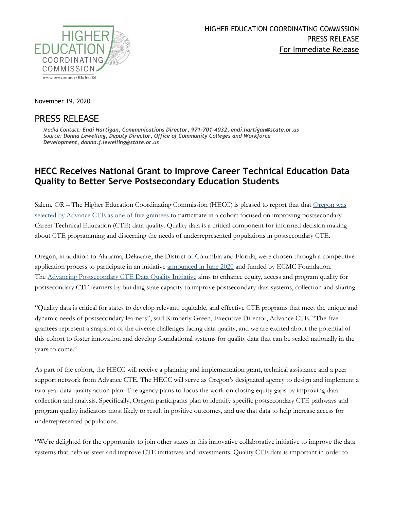

November 19, 2020

## PRESS RELEASE

*Media Contact: Endi Hartigan, Communications Director, 971-701-4032, endi.hartigan@state.or.us Source: Donna Lewelling, Deputy Director, Office of Community Colleges and Workforce Development, donna.j.lewelling@state.or.us*

## **HECC Receives National Grant to Improve Career Technical Education Data Quality to Better Serve Postsecondary Education Students**

Salem, OR – The Higher Education Coordinating Commission (HECC) is pleased to report that that Oregon was [selected by Advance CTE as one of five grantees](https://careertech.org/advance-cte-announces-four-states-and-washington-dc-grantees-postsecondary-cte-data-quality) to participate in a cohort focused on improving postsecondary Career Technical Education (CTE) data quality. Quality data is a critical component for informed decision making about CTE programming and discerning the needs of underrepresented populations in postsecondary CTE.

Oregon, in addition to Alabama, Delaware, the District of Columbia and Florida, were chosen through a competitive application process to participate in an initiative [announced in June 2020](https://careertech.org/advance-cte-announces-initiative-improve-state-postsecondary-cte-data-quality-0) and funded by ECMC Foundation. The [Advancing](https://careertech.org/initiatives) [Postsecondary CTE Data Quality Initiative](https://careertech.org/initiatives) aims to enhance equity, access and program quality for postsecondary CTE learners by building state capacity to improve postsecondary data systems, collection and sharing.

"Quality data is critical for states to develop relevant, equitable, and effective CTE programs that meet the unique and dynamic needs of postsecondary learners", said Kimberly Green, Executive Director, Advance CTE. "The five grantees represent a snapshot of the diverse challenges facing data quality, and we are excited about the potential of this cohort to foster innovation and develop foundational systems for quality data that can be scaled nationally in the years to come."

As part of the cohort, the HECC will receive a planning and implementation grant, technical assistance and a peer support network from Advance CTE. The HECC will serve as Oregon's designated agency to design and implement a two-year data quality action plan. The agency plans to focus the work on closing equity gaps by improving data collection and analysis. Specifically, Oregon participants plan to identify specific postsecondary CTE pathways and program quality indicators most likely to result in positive outcomes, and use that data to help increase access for underrepresented populations.

"We're delighted for the opportunity to join other states in this innovative collaborative initiative to improve the data systems that help us steer and improve CTE initiatives and investments. Quality CTE data is important in order to